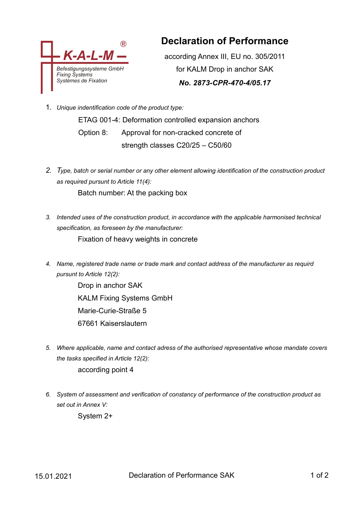

## **Declaration of Performance**

according Annex III, EU no. 305/2011 for KALM Drop in anchor SAK *No. 2873-CPR-470-4/05.17*

1. *Unique indentification code of the product type:*

ETAG 001-4: Deformation controlled expansion anchors Option 8: Approval for non-cracked concrete of strength classes C20/25 – C50/60

- *2. Type, batch or serial number or any other element allowing identification of the construction product as required pursunt to Article 11(4):* Batch number: At the packing box
- *3. Intended uses of the construction product, in accordance with the applicable harmonised technical specification, as foreseen by the manufacturer:* Fixation of heavy weights in concrete
- *4. Name, registered trade name or trade mark and contact address of the manufacturer as requird pursunt to Article 12(2):*

Drop in anchor SAK KALM Fixing Systems GmbH Marie-Curie-Straße 5 67661 Kaiserslautern

- *5. Where applicable, name and contact adress of the authorised representative whose mandate covers the tasks specified in Article 12(2):* according point 4
- *6. System of assessment and verification of constancy of performance of the construction product as set out in Annex V:*

System 2+